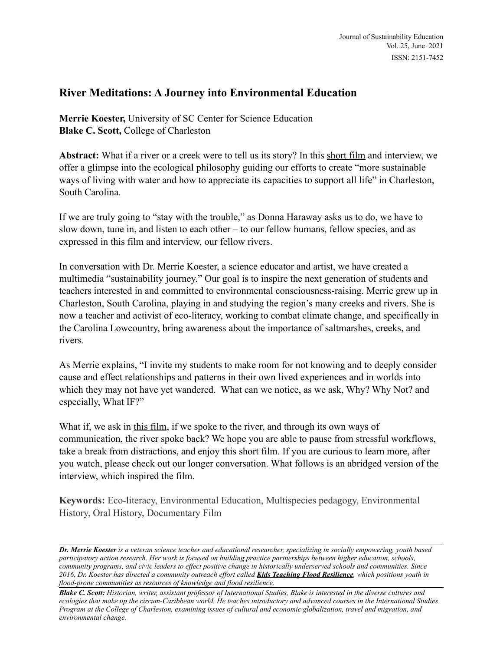# **River Meditations: A Journey into Environmental Education**

**Merrie Koester,** University of SC Center for Science Education **Blake C. Scott, College of Charleston** 

**Abstract:** What if a river or a creek were to tell us its story? In this [short film](https://www.youtube.com/watch?v=uIK0x3txI70) and interview, we offer a glimpse into the ecological philosophy guiding our efforts to create "more sustainable ways of living with water and how to appreciate its capacities to support all life" in Charleston, South Carolina.

If we are truly going to "stay with the trouble," as Donna Haraway asks us to do, we have to slow down, tune in, and listen to each other – to our fellow humans, fellow species, and as expressed in this film and interview, our fellow rivers.

In conversation with Dr. Merrie Koester, a science educator and artist, we have created a multimedia "sustainability journey." Our goal is to inspire the next generation of students and teachers interested in and committed to environmental consciousness-raising. Merrie grew up in Charleston, South Carolina, playing in and studying the region's many creeks and rivers. She is now a teacher and activist of eco-literacy, working to combat climate change, and specifically in the Carolina Lowcountry, bring awareness about the importance of saltmarshes, creeks, and rivers.

As Merrie explains, "I invite my students to make room for not knowing and to deeply consider cause and effect relationships and patterns in their own lived experiences and in worlds into which they may not have yet wandered. What can we notice, as we ask, Why? Why Not? and especially, What IF?"

What if, we ask in [this film,](https://www.youtube.com/watch?v=uIK0x3txI70) if we spoke to the river, and through its own ways of communication, the river spoke back? We hope you are able to pause from stressful workflows, take a break from distractions, and enjoy this short film. If you are curious to learn more, after you watch, please check out our longer conversation. What follows is an abridged version of the interview, which inspired the film.

**Keywords:** Eco-literacy, Environmental Education, Multispecies pedagogy, Environmental History, Oral History, Documentary Film

*Dr. Merrie Koester is a veteran science teacher and educational researcher, specializing in socially empowering, youth based participatory action research. Her work is focused on building practice partnerships between higher education, schools, community programs, and civic leaders to effect positive change in historically underserved schools and communities. Since 2016, Dr. Koester has directed a community outreach effort called [Kids Teaching Flood Resilience](https://www.kidsteachingfloodresilience.com/about), which positions youth in flood-prone communities as resources of knowledge and flood resilience.*

*Blake C. Scott: Historian, writer, assistant professor of International Studies, Blake is interested in the diverse cultures and ecologies that make up the circum-Caribbean world. He teaches introductory and advanced courses in the International Studies Program at the College of Charleston, examining issues of cultural and economic globalization, travel and migration, and environmental change.*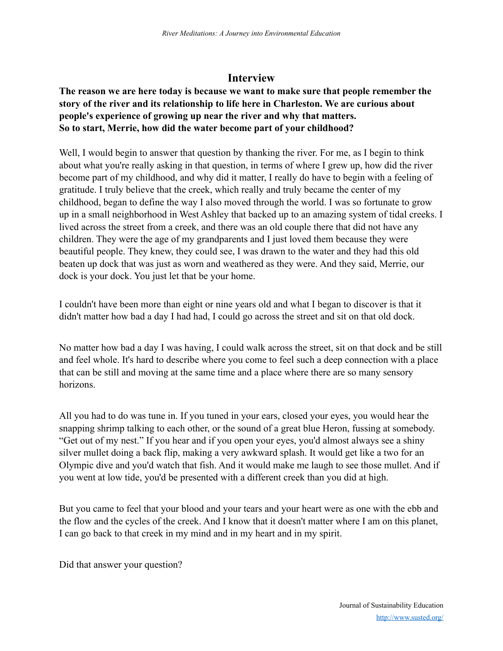# **Interview**

## **The reason we are here today is because we want to make sure that people remember the story of the river and its relationship to life here in Charleston. We are curious about people's experience of growing up near the river and why that matters. So to start, Merrie, how did the water become part of your childhood?**

Well, I would begin to answer that question by thanking the river. For me, as I begin to think about what you're really asking in that question, in terms of where I grew up, how did the river become part of my childhood, and why did it matter, I really do have to begin with a feeling of gratitude. I truly believe that the creek, which really and truly became the center of my childhood, began to define the way I also moved through the world. I was so fortunate to grow up in a small neighborhood in West Ashley that backed up to an amazing system of tidal creeks. I lived across the street from a creek, and there was an old couple there that did not have any children. They were the age of my grandparents and I just loved them because they were beautiful people. They knew, they could see, I was drawn to the water and they had this old beaten up dock that was just as worn and weathered as they were. And they said, Merrie, our dock is your dock. You just let that be your home.

I couldn't have been more than eight or nine years old and what I began to discover is that it didn't matter how bad a day I had had, I could go across the street and sit on that old dock.

No matter how bad a day I was having, I could walk across the street, sit on that dock and be still and feel whole. It's hard to describe where you come to feel such a deep connection with a place that can be still and moving at the same time and a place where there are so many sensory horizons.

All you had to do was tune in. If you tuned in your ears, closed your eyes, you would hear the snapping shrimp talking to each other, or the sound of a great blue Heron, fussing at somebody. "Get out of my nest." If you hear and if you open your eyes, you'd almost always see a shiny silver mullet doing a back flip, making a very awkward splash. It would get like a two for an Olympic dive and you'd watch that fish. And it would make me laugh to see those mullet. And if you went at low tide, you'd be presented with a different creek than you did at high.

But you came to feel that your blood and your tears and your heart were as one with the ebb and the flow and the cycles of the creek. And I know that it doesn't matter where I am on this planet, I can go back to that creek in my mind and in my heart and in my spirit.

Did that answer your question?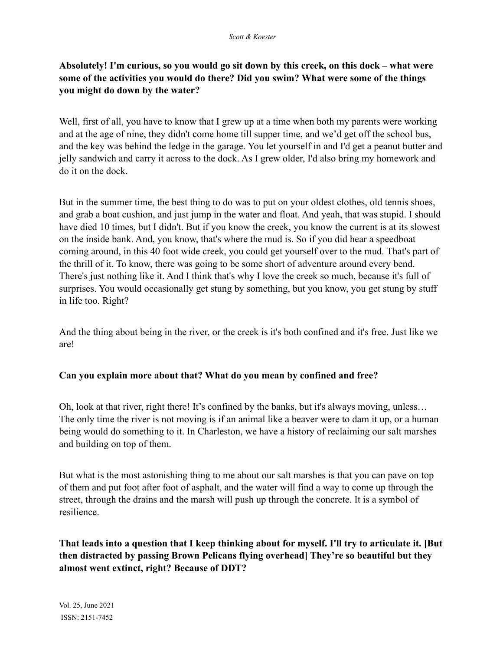## **Absolutely! I'm curious, so you would go sit down by this creek, on this dock – what were some of the activities you would do there? Did you swim? What were some of the things you might do down by the water?**

Well, first of all, you have to know that I grew up at a time when both my parents were working and at the age of nine, they didn't come home till supper time, and we'd get off the school bus, and the key was behind the ledge in the garage. You let yourself in and I'd get a peanut butter and jelly sandwich and carry it across to the dock. As I grew older, I'd also bring my homework and do it on the dock.

But in the summer time, the best thing to do was to put on your oldest clothes, old tennis shoes, and grab a boat cushion, and just jump in the water and float. And yeah, that was stupid. I should have died 10 times, but I didn't. But if you know the creek, you know the current is at its slowest on the inside bank. And, you know, that's where the mud is. So if you did hear a speedboat coming around, in this 40 foot wide creek, you could get yourself over to the mud. That's part of the thrill of it. To know, there was going to be some short of adventure around every bend. There's just nothing like it. And I think that's why I love the creek so much, because it's full of surprises. You would occasionally get stung by something, but you know, you get stung by stuff in life too. Right?

And the thing about being in the river, or the creek is it's both confined and it's free. Just like we are!

### **Can you explain more about that? What do you mean by confined and free?**

Oh, look at that river, right there! It's confined by the banks, but it's always moving, unless… The only time the river is not moving is if an animal like a beaver were to dam it up, or a human being would do something to it. In Charleston, we have a history of reclaiming our salt marshes and building on top of them.

But what is the most astonishing thing to me about our salt marshes is that you can pave on top of them and put foot after foot of asphalt, and the water will find a way to come up through the street, through the drains and the marsh will push up through the concrete. It is a symbol of resilience.

**That leads into a question that I keep thinking about for myself. I'll try to articulate it. [But then distracted by passing Brown Pelicans flying overhead] They're so beautiful but they almost went extinct, right? Because of DDT?**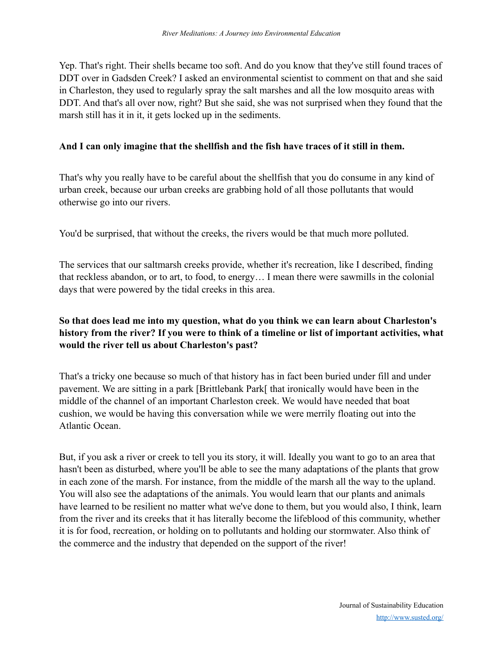Yep. That's right. Their shells became too soft. And do you know that they've still found traces of DDT over in Gadsden Creek? I asked an environmental scientist to comment on that and she said in Charleston, they used to regularly spray the salt marshes and all the low mosquito areas with DDT. And that's all over now, right? But she said, she was not surprised when they found that the marsh still has it in it, it gets locked up in the sediments.

#### **And I can only imagine that the shellfish and the fish have traces of it still in them.**

That's why you really have to be careful about the shellfish that you do consume in any kind of urban creek, because our urban creeks are grabbing hold of all those pollutants that would otherwise go into our rivers.

You'd be surprised, that without the creeks, the rivers would be that much more polluted.

The services that our saltmarsh creeks provide, whether it's recreation, like I described, finding that reckless abandon, or to art, to food, to energy… I mean there were sawmills in the colonial days that were powered by the tidal creeks in this area.

## **So that does lead me into my question, what do you think we can learn about Charleston's history from the river? If you were to think of a timeline or list of important activities, what would the river tell us about Charleston's past?**

That's a tricky one because so much of that history has in fact been buried under fill and under pavement. We are sitting in a park [Brittlebank Park[ that ironically would have been in the middle of the channel of an important Charleston creek. We would have needed that boat cushion, we would be having this conversation while we were merrily floating out into the Atlantic Ocean.

But, if you ask a river or creek to tell you its story, it will. Ideally you want to go to an area that hasn't been as disturbed, where you'll be able to see the many adaptations of the plants that grow in each zone of the marsh. For instance, from the middle of the marsh all the way to the upland. You will also see the adaptations of the animals. You would learn that our plants and animals have learned to be resilient no matter what we've done to them, but you would also, I think, learn from the river and its creeks that it has literally become the lifeblood of this community, whether it is for food, recreation, or holding on to pollutants and holding our stormwater. Also think of the commerce and the industry that depended on the support of the river!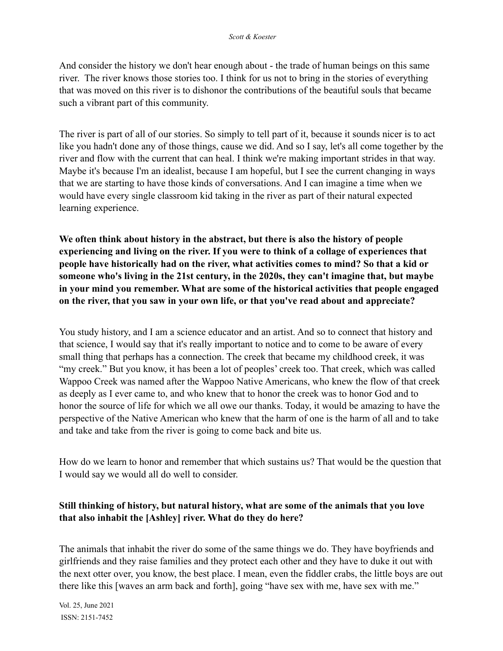And consider the history we don't hear enough about - the trade of human beings on this same river. The river knows those stories too. I think for us not to bring in the stories of everything that was moved on this river is to dishonor the contributions of the beautiful souls that became such a vibrant part of this community.

The river is part of all of our stories. So simply to tell part of it, because it sounds nicer is to act like you hadn't done any of those things, cause we did. And so I say, let's all come together by the river and flow with the current that can heal. I think we're making important strides in that way. Maybe it's because I'm an idealist, because I am hopeful, but I see the current changing in ways that we are starting to have those kinds of conversations. And I can imagine a time when we would have every single classroom kid taking in the river as part of their natural expected learning experience.

**We often think about history in the abstract, but there is also the history of people experiencing and living on the river. If you were to think of a collage of experiences that people have historically had on the river, what activities comes to mind? So that a kid or someone who's living in the 21st century, in the 2020s, they can't imagine that, but maybe in your mind you remember. What are some of the historical activities that people engaged on the river, that you saw in your own life, or that you've read about and appreciate?**

You study history, and I am a science educator and an artist. And so to connect that history and that science, I would say that it's really important to notice and to come to be aware of every small thing that perhaps has a connection. The creek that became my childhood creek, it was "my creek." But you know, it has been a lot of peoples' creek too. That creek, which was called Wappoo Creek was named after the Wappoo Native Americans, who knew the flow of that creek as deeply as I ever came to, and who knew that to honor the creek was to honor God and to honor the source of life for which we all owe our thanks. Today, it would be amazing to have the perspective of the Native American who knew that the harm of one is the harm of all and to take and take and take from the river is going to come back and bite us.

How do we learn to honor and remember that which sustains us? That would be the question that I would say we would all do well to consider.

### **Still thinking of history, but natural history, what are some of the animals that you love that also inhabit the [Ashley] river. What do they do here?**

The animals that inhabit the river do some of the same things we do. They have boyfriends and girlfriends and they raise families and they protect each other and they have to duke it out with the next otter over, you know, the best place. I mean, even the fiddler crabs, the little boys are out there like this [waves an arm back and forth], going "have sex with me, have sex with me."

Vol. 25, June 2021 ISSN: 2151-7452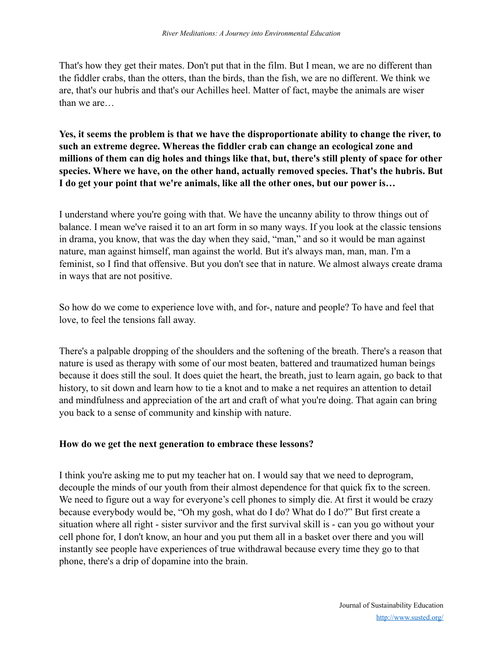That's how they get their mates. Don't put that in the film. But I mean, we are no different than the fiddler crabs, than the otters, than the birds, than the fish, we are no different. We think we are, that's our hubris and that's our Achilles heel. Matter of fact, maybe the animals are wiser than we are

**Yes, it seems the problem is that we have the disproportionate ability to change the river, to such an extreme degree. Whereas the fiddler crab can change an ecological zone and millions of them can dig holes and things like that, but, there's still plenty of space for other species. Where we have, on the other hand, actually removed species. That's the hubris. But I do get your point that we're animals, like all the other ones, but our power is…**

I understand where you're going with that. We have the uncanny ability to throw things out of balance. I mean we've raised it to an art form in so many ways. If you look at the classic tensions in drama, you know, that was the day when they said, "man," and so it would be man against nature, man against himself, man against the world. But it's always man, man, man. I'm a feminist, so I find that offensive. But you don't see that in nature. We almost always create drama in ways that are not positive.

So how do we come to experience love with, and for-, nature and people? To have and feel that love, to feel the tensions fall away.

There's a palpable dropping of the shoulders and the softening of the breath. There's a reason that nature is used as therapy with some of our most beaten, battered and traumatized human beings because it does still the soul. It does quiet the heart, the breath, just to learn again, go back to that history, to sit down and learn how to tie a knot and to make a net requires an attention to detail and mindfulness and appreciation of the art and craft of what you're doing. That again can bring you back to a sense of community and kinship with nature.

#### **How do we get the next generation to embrace these lessons?**

I think you're asking me to put my teacher hat on. I would say that we need to deprogram, decouple the minds of our youth from their almost dependence for that quick fix to the screen. We need to figure out a way for everyone's cell phones to simply die. At first it would be crazy because everybody would be, "Oh my gosh, what do I do? What do I do?" But first create a situation where all right - sister survivor and the first survival skill is - can you go without your cell phone for, I don't know, an hour and you put them all in a basket over there and you will instantly see people have experiences of true withdrawal because every time they go to that phone, there's a drip of dopamine into the brain.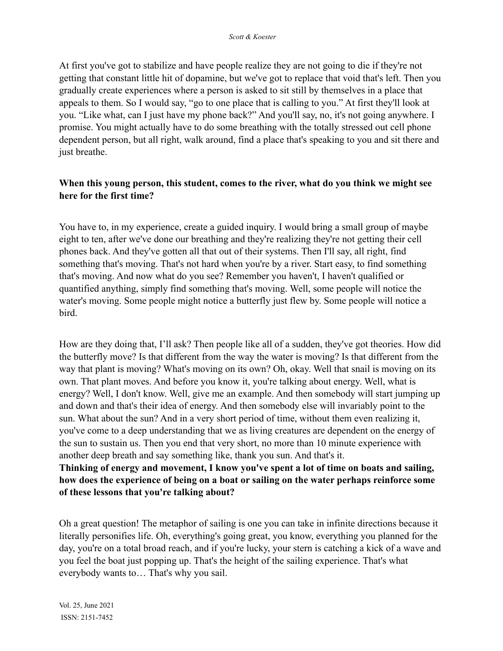At first you've got to stabilize and have people realize they are not going to die if they're not getting that constant little hit of dopamine, but we've got to replace that void that's left. Then you gradually create experiences where a person is asked to sit still by themselves in a place that appeals to them. So I would say, "go to one place that is calling to you." At first they'll look at you. "Like what, can I just have my phone back?" And you'll say, no, it's not going anywhere. I promise. You might actually have to do some breathing with the totally stressed out cell phone dependent person, but all right, walk around, find a place that's speaking to you and sit there and just breathe.

### **When this young person, this student, comes to the river, what do you think we might see here for the first time?**

You have to, in my experience, create a guided inquiry. I would bring a small group of maybe eight to ten, after we've done our breathing and they're realizing they're not getting their cell phones back. And they've gotten all that out of their systems. Then I'll say, all right, find something that's moving. That's not hard when you're by a river. Start easy, to find something that's moving. And now what do you see? Remember you haven't, I haven't qualified or quantified anything, simply find something that's moving. Well, some people will notice the water's moving. Some people might notice a butterfly just flew by. Some people will notice a bird.

How are they doing that, I'll ask? Then people like all of a sudden, they've got theories. How did the butterfly move? Is that different from the way the water is moving? Is that different from the way that plant is moving? What's moving on its own? Oh, okay. Well that snail is moving on its own. That plant moves. And before you know it, you're talking about energy. Well, what is energy? Well, I don't know. Well, give me an example. And then somebody will start jumping up and down and that's their idea of energy. And then somebody else will invariably point to the sun. What about the sun? And in a very short period of time, without them even realizing it, you've come to a deep understanding that we as living creatures are dependent on the energy of the sun to sustain us. Then you end that very short, no more than 10 minute experience with another deep breath and say something like, thank you sun. And that's it.

### **Thinking of energy and movement, I know you've spent a lot of time on boats and sailing, how does the experience of being on a boat or sailing on the water perhaps reinforce some of these lessons that you're talking about?**

Oh a great question! The metaphor of sailing is one you can take in infinite directions because it literally personifies life. Oh, everything's going great, you know, everything you planned for the day, you're on a total broad reach, and if you're lucky, your stern is catching a kick of a wave and you feel the boat just popping up. That's the height of the sailing experience. That's what everybody wants to… That's why you sail.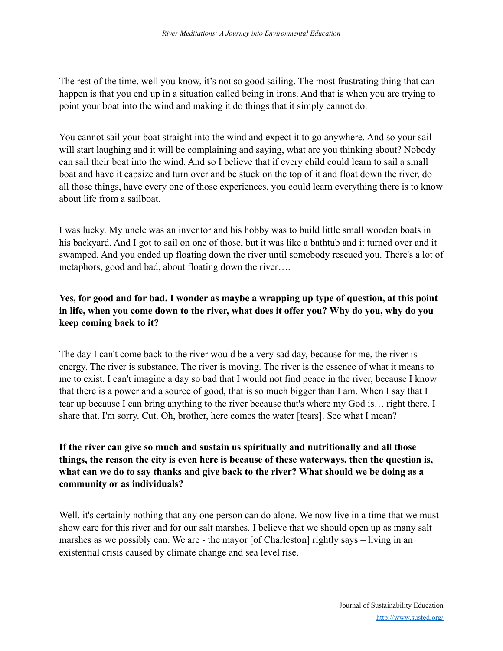The rest of the time, well you know, it's not so good sailing. The most frustrating thing that can happen is that you end up in a situation called being in irons. And that is when you are trying to point your boat into the wind and making it do things that it simply cannot do.

You cannot sail your boat straight into the wind and expect it to go anywhere. And so your sail will start laughing and it will be complaining and saying, what are you thinking about? Nobody can sail their boat into the wind. And so I believe that if every child could learn to sail a small boat and have it capsize and turn over and be stuck on the top of it and float down the river, do all those things, have every one of those experiences, you could learn everything there is to know about life from a sailboat.

I was lucky. My uncle was an inventor and his hobby was to build little small wooden boats in his backyard. And I got to sail on one of those, but it was like a bathtub and it turned over and it swamped. And you ended up floating down the river until somebody rescued you. There's a lot of metaphors, good and bad, about floating down the river….

## **Yes, for good and for bad. I wonder as maybe a wrapping up type of question, at this point in life, when you come down to the river, what does it offer you? Why do you, why do you keep coming back to it?**

The day I can't come back to the river would be a very sad day, because for me, the river is energy. The river is substance. The river is moving. The river is the essence of what it means to me to exist. I can't imagine a day so bad that I would not find peace in the river, because I know that there is a power and a source of good, that is so much bigger than I am. When I say that I tear up because I can bring anything to the river because that's where my God is… right there. I share that. I'm sorry. Cut. Oh, brother, here comes the water [tears]. See what I mean?

## **If the river can give so much and sustain us spiritually and nutritionally and all those things, the reason the city is even here is because of these waterways, then the question is, what can we do to say thanks and give back to the river? What should we be doing as a community or as individuals?**

Well, it's certainly nothing that any one person can do alone. We now live in a time that we must show care for this river and for our salt marshes. I believe that we should open up as many salt marshes as we possibly can. We are - the mayor [of Charleston] rightly says – living in an existential crisis caused by climate change and sea level rise.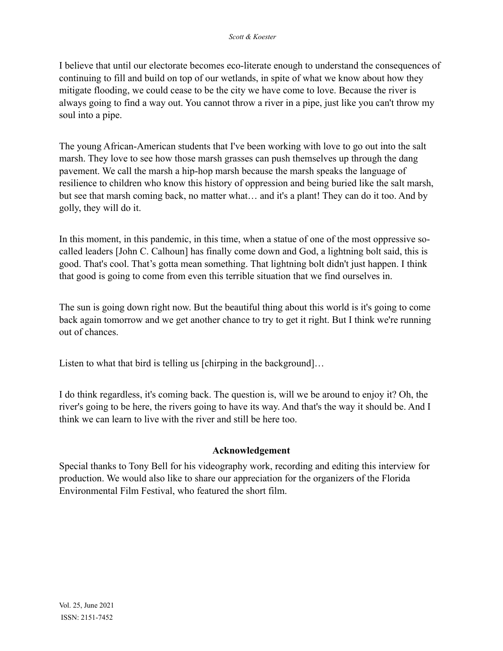I believe that until our electorate becomes eco-literate enough to understand the consequences of continuing to fill and build on top of our wetlands, in spite of what we know about how they mitigate flooding, we could cease to be the city we have come to love. Because the river is always going to find a way out. You cannot throw a river in a pipe, just like you can't throw my soul into a pipe.

The young African-American students that I've been working with love to go out into the salt marsh. They love to see how those marsh grasses can push themselves up through the dang pavement. We call the marsh a hip-hop marsh because the marsh speaks the language of resilience to children who know this history of oppression and being buried like the salt marsh, but see that marsh coming back, no matter what… and it's a plant! They can do it too. And by golly, they will do it.

In this moment, in this pandemic, in this time, when a statue of one of the most oppressive socalled leaders [John C. Calhoun] has finally come down and God, a lightning bolt said, this is good. That's cool. That's gotta mean something. That lightning bolt didn't just happen. I think that good is going to come from even this terrible situation that we find ourselves in.

The sun is going down right now. But the beautiful thing about this world is it's going to come back again tomorrow and we get another chance to try to get it right. But I think we're running out of chances.

Listen to what that bird is telling us [chirping in the background]...

I do think regardless, it's coming back. The question is, will we be around to enjoy it? Oh, the river's going to be here, the rivers going to have its way. And that's the way it should be. And I think we can learn to live with the river and still be here too.

#### **Acknowledgement**

Special thanks to Tony Bell for his videography work, recording and editing this interview for production. We would also like to share our appreciation for the organizers of the Florida Environmental Film Festival, who featured the short film.